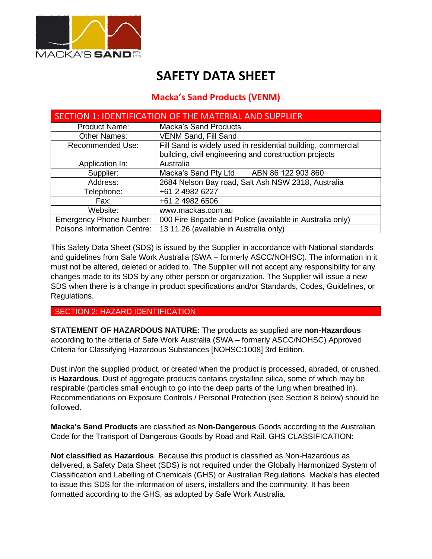

# **SAFETY DATA SHEET**

# **Macka's Sand Products (VENM)**

| SECTION 1: IDENTIFICATION OF THE MATERIAL AND SUPPLIER |                                                              |  |
|--------------------------------------------------------|--------------------------------------------------------------|--|
| <b>Product Name:</b>                                   | <b>Macka's Sand Products</b>                                 |  |
| <b>Other Names:</b>                                    | VENM Sand, Fill Sand                                         |  |
| Recommended Use:                                       | Fill Sand is widely used in residential building, commercial |  |
|                                                        | building, civil engineering and construction projects        |  |
| Application In:                                        | Australia                                                    |  |
| Supplier:                                              | Macka's Sand Pty Ltd<br>ABN 86 122 903 860                   |  |
| Address:                                               | 2684 Nelson Bay road, Salt Ash NSW 2318, Australia           |  |
| Telephone:                                             | +61 2 4982 6227                                              |  |
| Fax:                                                   | +61 2 4982 6506                                              |  |
| Website:                                               | www.mackas.com.au                                            |  |
| <b>Emergency Phone Number:</b>                         | 000 Fire Brigade and Police (available in Australia only)    |  |
| Poisons Information Centre:                            | 13 11 26 (available in Australia only)                       |  |

This Safety Data Sheet (SDS) is issued by the Supplier in accordance with National standards and guidelines from Safe Work Australia (SWA – formerly ASCC/NOHSC). The information in it must not be altered, deleted or added to. The Supplier will not accept any responsibility for any changes made to its SDS by any other person or organization. The Supplier will issue a new SDS when there is a change in product specifications and/or Standards, Codes, Guidelines, or Regulations.

#### SECTION 2: HAZARD IDENTIFICATION

**STATEMENT OF HAZARDOUS NATURE:** The products as supplied are **non-Hazardous** according to the criteria of Safe Work Australia (SWA – formerly ASCC/NOHSC) Approved Criteria for Classifying Hazardous Substances [NOHSC:1008] 3rd Edition.

Dust in/on the supplied product, or created when the product is processed, abraded, or crushed, is **Hazardous**. Dust of aggregate products contains crystalline silica, some of which may be respirable (particles small enough to go into the deep parts of the lung when breathed in). Recommendations on Exposure Controls / Personal Protection (see Section 8 below) should be followed.

**Macka's Sand Products** are classified as **Non-Dangerous** Goods according to the Australian Code for the Transport of Dangerous Goods by Road and Rail. GHS CLASSIFICATION:

**Not classified as Hazardous**. Because this product is classified as Non-Hazardous as delivered, a Safety Data Sheet (SDS) is not required under the Globally Harmonized System of Classification and Labelling of Chemicals (GHS) or Australian Regulations. Macka's has elected to issue this SDS for the information of users, installers and the community. It has been formatted according to the GHS, as adopted by Safe Work Australia.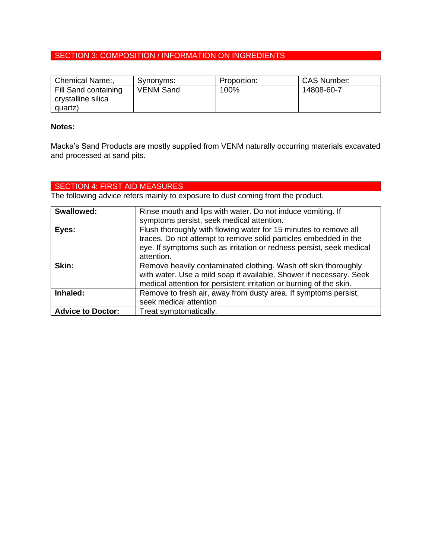## SECTION 3: COMPOSITION / INFORMATION ON INGREDIENTS

| Chemical Name:,      | Synonyms:        | Proportion: | <b>CAS Number:</b> |
|----------------------|------------------|-------------|--------------------|
| Fill Sand containing | <b>VENM Sand</b> | 100%        | 14808-60-7         |
| crystalline silica   |                  |             |                    |
| quartz)              |                  |             |                    |

#### **Notes:**

Macka's Sand Products are mostly supplied from VENM naturally occurring materials excavated and processed at sand pits.

## SECTION 4: FIRST AID MEASURES

The following advice refers mainly to exposure to dust coming from the product.

| <b>Swallowed:</b>        | Rinse mouth and lips with water. Do not induce vomiting. If                                                                                                                                                                |
|--------------------------|----------------------------------------------------------------------------------------------------------------------------------------------------------------------------------------------------------------------------|
|                          | symptoms persist, seek medical attention.                                                                                                                                                                                  |
| Eyes:                    | Flush thoroughly with flowing water for 15 minutes to remove all<br>traces. Do not attempt to remove solid particles embedded in the<br>eye. If symptoms such as irritation or redness persist, seek medical<br>attention. |
| Skin:                    | Remove heavily contaminated clothing. Wash off skin thoroughly<br>with water. Use a mild soap if available. Shower if necessary. Seek<br>medical attention for persistent irritation or burning of the skin.               |
| Inhaled:                 | Remove to fresh air, away from dusty area. If symptoms persist,<br>seek medical attention                                                                                                                                  |
| <b>Advice to Doctor:</b> | Treat symptomatically.                                                                                                                                                                                                     |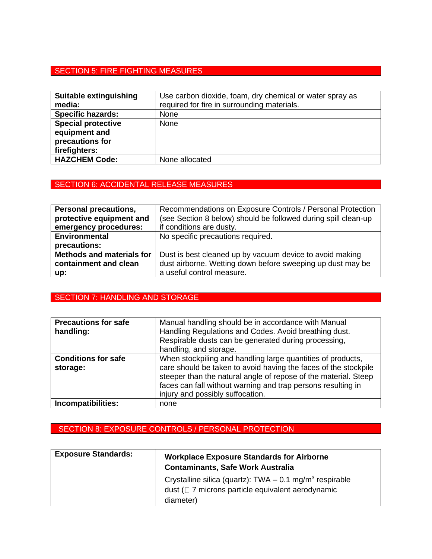## SECTION 5: FIRE FIGHTING MEASURES

| Suitable extinguishing<br>media:                                               | Use carbon dioxide, foam, dry chemical or water spray as<br>required for fire in surrounding materials. |
|--------------------------------------------------------------------------------|---------------------------------------------------------------------------------------------------------|
| <b>Specific hazards:</b>                                                       | None                                                                                                    |
| <b>Special protective</b><br>equipment and<br>precautions for<br>firefighters: | None                                                                                                    |
| <b>HAZCHEM Code:</b>                                                           | None allocated                                                                                          |

## SECTION 6: ACCIDENTAL RELEASE MEASURES

| Personal precautions,            | Recommendations on Exposure Controls / Personal Protection     |
|----------------------------------|----------------------------------------------------------------|
| protective equipment and         | (see Section 8 below) should be followed during spill clean-up |
| emergency procedures:            | if conditions are dusty.                                       |
| <b>Environmental</b>             | No specific precautions required.                              |
| precautions:                     |                                                                |
| <b>Methods and materials for</b> | Dust is best cleaned up by vacuum device to avoid making       |
| containment and clean            | dust airborne. Wetting down before sweeping up dust may be     |
| up:                              | a useful control measure.                                      |

### SECTION 7: HANDLING AND STORAGE

| <b>Precautions for safe</b><br>handling: | Manual handling should be in accordance with Manual<br>Handling Regulations and Codes. Avoid breathing dust.<br>Respirable dusts can be generated during processing,<br>handling, and storage.                                                                                                        |
|------------------------------------------|-------------------------------------------------------------------------------------------------------------------------------------------------------------------------------------------------------------------------------------------------------------------------------------------------------|
| <b>Conditions for safe</b><br>storage:   | When stockpiling and handling large quantities of products,<br>care should be taken to avoid having the faces of the stockpile<br>steeper than the natural angle of repose of the material. Steep<br>faces can fall without warning and trap persons resulting in<br>injury and possibly suffocation. |
| Incompatibilities:                       | none                                                                                                                                                                                                                                                                                                  |

## SECTION 8: EXPOSURE CONTROLS / PERSONAL PROTECTION

| <b>Exposure Standards:</b> | <b>Workplace Exposure Standards for Airborne</b><br><b>Contaminants, Safe Work Australia</b>                               |
|----------------------------|----------------------------------------------------------------------------------------------------------------------------|
|                            | Crystalline silica (quartz): TWA $-$ 0.1 mg/m <sup>3</sup> respirable<br>dust (□ 7 microns particle equivalent aerodynamic |
|                            | diameter)                                                                                                                  |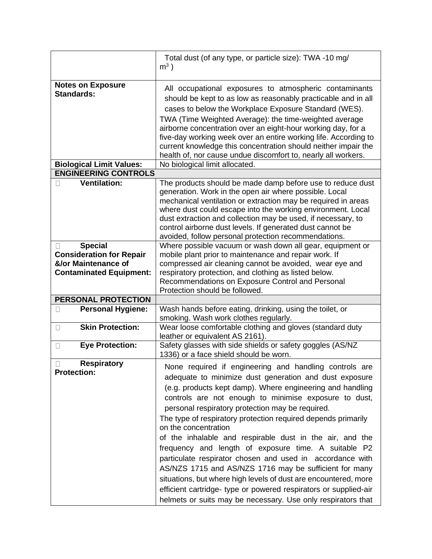|                                                                                                                 | Total dust (of any type, or particle size): TWA -10 mg/<br>$m3$ )                                                                                                                                                                                                                                                                                                                                                                                                                                                                                                                                                                                                                                                                                                                                                                     |
|-----------------------------------------------------------------------------------------------------------------|---------------------------------------------------------------------------------------------------------------------------------------------------------------------------------------------------------------------------------------------------------------------------------------------------------------------------------------------------------------------------------------------------------------------------------------------------------------------------------------------------------------------------------------------------------------------------------------------------------------------------------------------------------------------------------------------------------------------------------------------------------------------------------------------------------------------------------------|
| <b>Notes on Exposure</b><br><b>Standards:</b>                                                                   | All occupational exposures to atmospheric contaminants<br>should be kept to as low as reasonably practicable and in all<br>cases to below the Workplace Exposure Standard (WES).<br>TWA (Time Weighted Average): the time-weighted average<br>airborne concentration over an eight-hour working day, for a<br>five-day working week over an entire working life. According to<br>current knowledge this concentration should neither impair the<br>health of, nor cause undue discomfort to, nearly all workers.                                                                                                                                                                                                                                                                                                                      |
| <b>Biological Limit Values:</b>                                                                                 | No biological limit allocated.                                                                                                                                                                                                                                                                                                                                                                                                                                                                                                                                                                                                                                                                                                                                                                                                        |
| <b>ENGINEERING CONTROLS</b>                                                                                     |                                                                                                                                                                                                                                                                                                                                                                                                                                                                                                                                                                                                                                                                                                                                                                                                                                       |
| <b>Ventilation:</b>                                                                                             | The products should be made damp before use to reduce dust<br>generation. Work in the open air where possible. Local<br>mechanical ventilation or extraction may be required in areas<br>where dust could escape into the working environment. Local<br>dust extraction and collection may be used, if necessary, to<br>control airborne dust levels. If generated dust cannot be<br>avoided, follow personal protection recommendations.                                                                                                                                                                                                                                                                                                                                                                                             |
| <b>Special</b><br>U<br><b>Consideration for Repair</b><br>&/or Maintenance of<br><b>Contaminated Equipment:</b> | Where possible vacuum or wash down all gear, equipment or<br>mobile plant prior to maintenance and repair work. If<br>compressed air cleaning cannot be avoided, wear eye and<br>respiratory protection, and clothing as listed below.<br>Recommendations on Exposure Control and Personal<br>Protection should be followed.                                                                                                                                                                                                                                                                                                                                                                                                                                                                                                          |
| PERSONAL PROTECTION                                                                                             |                                                                                                                                                                                                                                                                                                                                                                                                                                                                                                                                                                                                                                                                                                                                                                                                                                       |
| <b>Personal Hygiene:</b><br>$\mathbf{L}$                                                                        | Wash hands before eating, drinking, using the toilet, or<br>smoking. Wash work clothes regularly.                                                                                                                                                                                                                                                                                                                                                                                                                                                                                                                                                                                                                                                                                                                                     |
| <b>Skin Protection:</b><br>$\Box$                                                                               | Wear loose comfortable clothing and gloves (standard duty<br>leather or equivalent AS 2161).                                                                                                                                                                                                                                                                                                                                                                                                                                                                                                                                                                                                                                                                                                                                          |
| <b>Eye Protection:</b><br>$\Box$                                                                                | Safety glasses with side shields or safety goggles (AS/NZ<br>1336) or a face shield should be worn.                                                                                                                                                                                                                                                                                                                                                                                                                                                                                                                                                                                                                                                                                                                                   |
| <b>Respiratory</b><br>$\Box$<br><b>Protection:</b>                                                              | None required if engineering and handling controls are<br>adequate to minimize dust generation and dust exposure<br>(e.g. products kept damp). Where engineering and handling<br>controls are not enough to minimise exposure to dust,<br>personal respiratory protection may be required.<br>The type of respiratory protection required depends primarily<br>on the concentration<br>of the inhalable and respirable dust in the air, and the<br>frequency and length of exposure time. A suitable P2<br>particulate respirator chosen and used in accordance with<br>AS/NZS 1715 and AS/NZS 1716 may be sufficient for many<br>situations, but where high levels of dust are encountered, more<br>efficient cartridge- type or powered respirators or supplied-air<br>helmets or suits may be necessary. Use only respirators that |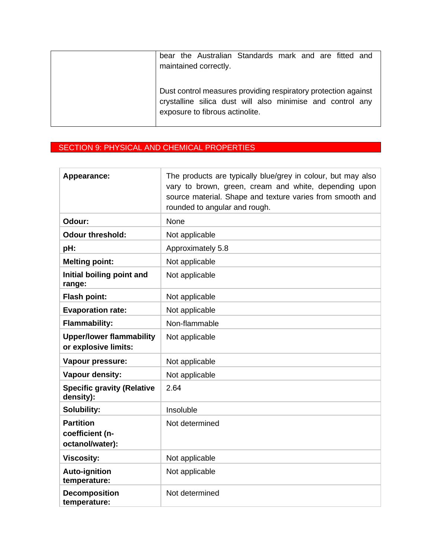| bear the Australian Standards mark and are fitted and<br>maintained correctly.                                                                                  |
|-----------------------------------------------------------------------------------------------------------------------------------------------------------------|
| Dust control measures providing respiratory protection against<br>crystalline silica dust will also minimise and control any<br>exposure to fibrous actinolite. |

# SECTION 9: PHYSICAL AND CHEMICAL PROPERTIES

| Appearance:                                             | The products are typically blue/grey in colour, but may also<br>vary to brown, green, cream and white, depending upon<br>source material. Shape and texture varies from smooth and<br>rounded to angular and rough. |
|---------------------------------------------------------|---------------------------------------------------------------------------------------------------------------------------------------------------------------------------------------------------------------------|
| Odour:                                                  | None                                                                                                                                                                                                                |
| <b>Odour threshold:</b>                                 | Not applicable                                                                                                                                                                                                      |
| pH:                                                     | Approximately 5.8                                                                                                                                                                                                   |
| <b>Melting point:</b>                                   | Not applicable                                                                                                                                                                                                      |
| Initial boiling point and<br>range:                     | Not applicable                                                                                                                                                                                                      |
| <b>Flash point:</b>                                     | Not applicable                                                                                                                                                                                                      |
| <b>Evaporation rate:</b>                                | Not applicable                                                                                                                                                                                                      |
| <b>Flammability:</b>                                    | Non-flammable                                                                                                                                                                                                       |
| <b>Upper/lower flammability</b><br>or explosive limits: | Not applicable                                                                                                                                                                                                      |
| Vapour pressure:                                        | Not applicable                                                                                                                                                                                                      |
| <b>Vapour density:</b>                                  | Not applicable                                                                                                                                                                                                      |
| <b>Specific gravity (Relative</b><br>density):          | 2.64                                                                                                                                                                                                                |
| Solubility:                                             | Insoluble                                                                                                                                                                                                           |
| <b>Partition</b><br>coefficient (n-<br>octanol/water):  | Not determined                                                                                                                                                                                                      |
| <b>Viscosity:</b>                                       | Not applicable                                                                                                                                                                                                      |
| <b>Auto-ignition</b><br>temperature:                    | Not applicable                                                                                                                                                                                                      |
| <b>Decomposition</b><br>temperature:                    | Not determined                                                                                                                                                                                                      |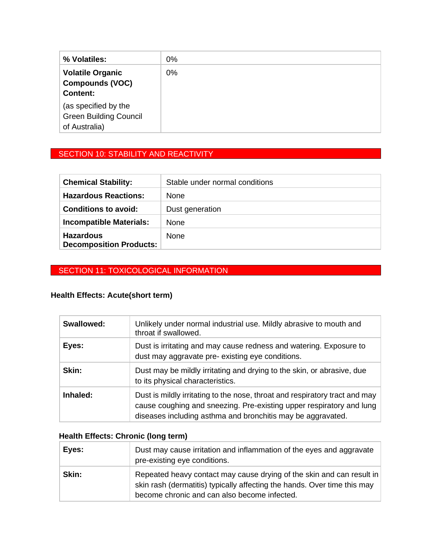| % Volatiles:                  | 0% |
|-------------------------------|----|
| <b>Volatile Organic</b>       | 0% |
| <b>Compounds (VOC)</b>        |    |
| <b>Content:</b>               |    |
| (as specified by the          |    |
| <b>Green Building Council</b> |    |
| of Australia)                 |    |

## SECTION 10: STABILITY AND REACTIVITY

| <b>Chemical Stability:</b>                         | Stable under normal conditions |
|----------------------------------------------------|--------------------------------|
| <b>Hazardous Reactions:</b>                        | <b>None</b>                    |
| <b>Conditions to avoid:</b>                        | Dust generation                |
| <b>Incompatible Materials:</b>                     | <b>None</b>                    |
| <b>Hazardous</b><br><b>Decomposition Products:</b> | <b>None</b>                    |

## SECTION 11: TOXICOLOGICAL INFORMATION

## **Health Effects: Acute(short term)**

| <b>Swallowed:</b> | Unlikely under normal industrial use. Mildly abrasive to mouth and<br>throat if swallowed.                                                                                                                         |
|-------------------|--------------------------------------------------------------------------------------------------------------------------------------------------------------------------------------------------------------------|
| Eyes:             | Dust is irritating and may cause redness and watering. Exposure to<br>dust may aggravate pre-existing eye conditions.                                                                                              |
| Skin:             | Dust may be mildly irritating and drying to the skin, or abrasive, due<br>to its physical characteristics.                                                                                                         |
| Inhaled:          | Dust is mildly irritating to the nose, throat and respiratory tract and may<br>cause coughing and sneezing. Pre-existing upper respiratory and lung<br>diseases including asthma and bronchitis may be aggravated. |

## **Health Effects: Chronic (long term)**

| Eyes: | Dust may cause irritation and inflammation of the eyes and aggravate<br>pre-existing eye conditions.                                                                                              |
|-------|---------------------------------------------------------------------------------------------------------------------------------------------------------------------------------------------------|
| Skin: | Repeated heavy contact may cause drying of the skin and can result in<br>skin rash (dermatitis) typically affecting the hands. Over time this may<br>become chronic and can also become infected. |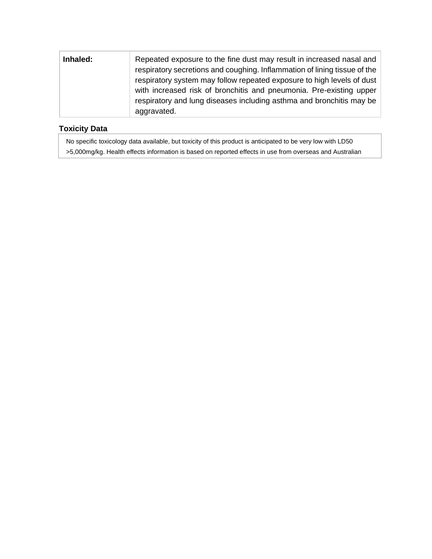| Inhaled: | Repeated exposure to the fine dust may result in increased nasal and      |
|----------|---------------------------------------------------------------------------|
|          | respiratory secretions and coughing. Inflammation of lining tissue of the |
|          | respiratory system may follow repeated exposure to high levels of dust    |
|          | with increased risk of bronchitis and pneumonia. Pre-existing upper       |
|          | respiratory and lung diseases including asthma and bronchitis may be      |
|          | aggravated.                                                               |

#### **Toxicity Data**

No specific toxicology data available, but toxicity of this product is anticipated to be very low with LD50 >5,000mg/kg. Health effects information is based on reported effects in use from overseas and Australian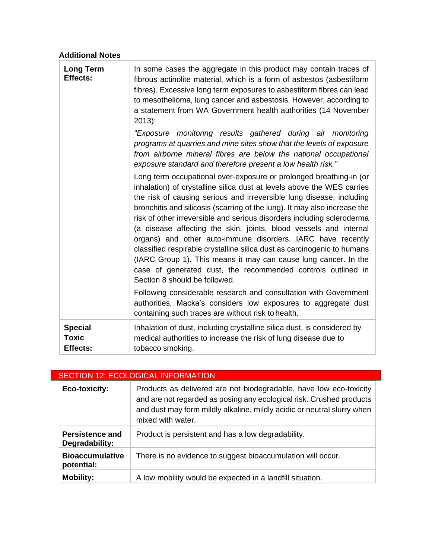## **Additional Notes**

| <b>Long Term</b><br>Effects:                      | In some cases the aggregate in this product may contain traces of<br>fibrous actinolite material, which is a form of asbestos (asbestiform<br>fibres). Excessive long term exposures to asbestiform fibres can lead<br>to mesothelioma, lung cancer and asbestosis. However, according to<br>a statement from WA Government health authorities (14 November<br>$2013$ :<br>"Exposure monitoring results gathered during air monitoring<br>programs at quarries and mine sites show that the levels of exposure<br>from airborne mineral fibres are below the national occupational<br>exposure standard and therefore present a low health risk."<br>Long term occupational over-exposure or prolonged breathing-in (or                                                                                                        |
|---------------------------------------------------|--------------------------------------------------------------------------------------------------------------------------------------------------------------------------------------------------------------------------------------------------------------------------------------------------------------------------------------------------------------------------------------------------------------------------------------------------------------------------------------------------------------------------------------------------------------------------------------------------------------------------------------------------------------------------------------------------------------------------------------------------------------------------------------------------------------------------------|
|                                                   | inhalation) of crystalline silica dust at levels above the WES carries<br>the risk of causing serious and irreversible lung disease, including<br>bronchitis and silicosis (scarring of the lung). It may also increase the<br>risk of other irreversible and serious disorders including scleroderma<br>(a disease affecting the skin, joints, blood vessels and internal<br>organs) and other auto-immune disorders. IARC have recently<br>classified respirable crystalline silica dust as carcinogenic to humans<br>(IARC Group 1). This means it may can cause lung cancer. In the<br>case of generated dust, the recommended controls outlined in<br>Section 8 should be followed.<br>Following considerable research and consultation with Government<br>authorities, Macka's considers low exposures to aggregate dust |
|                                                   | containing such traces are without risk to health.                                                                                                                                                                                                                                                                                                                                                                                                                                                                                                                                                                                                                                                                                                                                                                             |
| <b>Special</b><br><b>Toxic</b><br><b>Effects:</b> | Inhalation of dust, including crystalline silica dust, is considered by<br>medical authorities to increase the risk of lung disease due to<br>tobacco smoking.                                                                                                                                                                                                                                                                                                                                                                                                                                                                                                                                                                                                                                                                 |

| <b>SECTION 12: ECOLOGICAL INFORMATION</b> |                                                                                                                                                                                                                                            |
|-------------------------------------------|--------------------------------------------------------------------------------------------------------------------------------------------------------------------------------------------------------------------------------------------|
| Eco-toxicity:                             | Products as delivered are not biodegradable, have low eco-toxicity<br>and are not regarded as posing any ecological risk. Crushed products<br>and dust may form mildly alkaline, mildly acidic or neutral slurry when<br>mixed with water. |
| <b>Persistence and</b><br>Degradability:  | Product is persistent and has a low degradability.                                                                                                                                                                                         |
| <b>Bioaccumulative</b><br>potential:      | There is no evidence to suggest bioaccumulation will occur.                                                                                                                                                                                |
| <b>Mobility:</b>                          | A low mobility would be expected in a landfill situation.                                                                                                                                                                                  |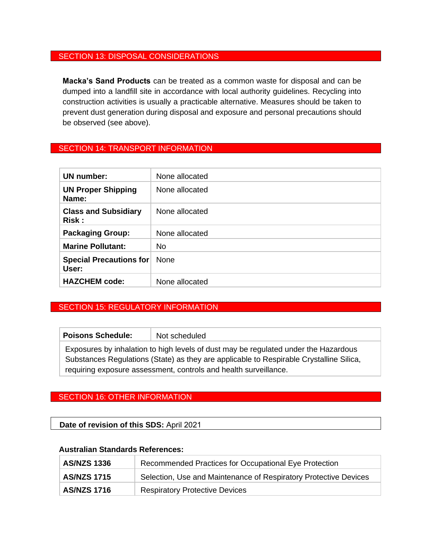#### SECTION 13: DISPOSAL CONSIDERATIONS

**Macka's Sand Products** can be treated as a common waste for disposal and can be dumped into a landfill site in accordance with local authority guidelines. Recycling into construction activities is usually a practicable alternative. Measures should be taken to prevent dust generation during disposal and exposure and personal precautions should be observed (see above).

#### SECTION 14: TRANSPORT INFORMATION

| UN number:                              | None allocated |
|-----------------------------------------|----------------|
| <b>UN Proper Shipping</b><br>Name:      | None allocated |
| <b>Class and Subsidiary</b><br>Risk:    | None allocated |
| <b>Packaging Group:</b>                 | None allocated |
| <b>Marine Pollutant:</b>                | No             |
| <b>Special Precautions for</b><br>User: | <b>None</b>    |
| <b>HAZCHEM code:</b>                    | None allocated |

#### SECTION 15: REGULATORY INFORMATION

| <b>Poisons Schedule:</b>                                                                | Not scheduled                                                                       |
|-----------------------------------------------------------------------------------------|-------------------------------------------------------------------------------------|
|                                                                                         | Exposures by inhalation to high levels of dust may be regulated under the Hazardous |
| Substances Regulations (State) as they are applicable to Respirable Crystalline Silica, |                                                                                     |
| requiring exposure assessment, controls and health surveillance.                        |                                                                                     |

#### SECTION 16: OTHER INFORMATION

#### **Date of revision of this SDS:** April 2021

#### **Australian Standards References:**

| <b>AS/NZS 1336</b> | Recommended Practices for Occupational Eye Protection            |
|--------------------|------------------------------------------------------------------|
| <b>AS/NZS 1715</b> | Selection, Use and Maintenance of Respiratory Protective Devices |
| <b>AS/NZS 1716</b> | <b>Respiratory Protective Devices</b>                            |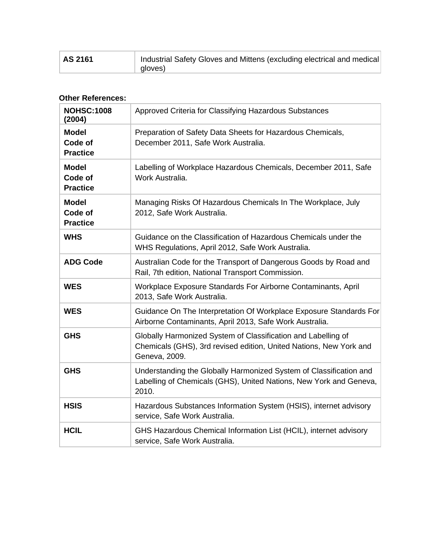| AS 2161 | Industrial Safety Gloves and Mittens (excluding electrical and medical<br>gloves) |
|---------|-----------------------------------------------------------------------------------|
|---------|-----------------------------------------------------------------------------------|

#### **Other References:**

| <b>NOHSC:1008</b><br>(2004)                | Approved Criteria for Classifying Hazardous Substances                                                                                               |
|--------------------------------------------|------------------------------------------------------------------------------------------------------------------------------------------------------|
| <b>Model</b><br>Code of<br><b>Practice</b> | Preparation of Safety Data Sheets for Hazardous Chemicals,<br>December 2011, Safe Work Australia.                                                    |
| <b>Model</b><br>Code of<br><b>Practice</b> | Labelling of Workplace Hazardous Chemicals, December 2011, Safe<br>Work Australia.                                                                   |
| <b>Model</b><br>Code of<br><b>Practice</b> | Managing Risks Of Hazardous Chemicals In The Workplace, July<br>2012, Safe Work Australia.                                                           |
| <b>WHS</b>                                 | Guidance on the Classification of Hazardous Chemicals under the<br>WHS Regulations, April 2012, Safe Work Australia.                                 |
| <b>ADG Code</b>                            | Australian Code for the Transport of Dangerous Goods by Road and<br>Rail, 7th edition, National Transport Commission.                                |
| <b>WES</b>                                 | Workplace Exposure Standards For Airborne Contaminants, April<br>2013, Safe Work Australia.                                                          |
| <b>WES</b>                                 | Guidance On The Interpretation Of Workplace Exposure Standards For<br>Airborne Contaminants, April 2013, Safe Work Australia.                        |
| <b>GHS</b>                                 | Globally Harmonized System of Classification and Labelling of<br>Chemicals (GHS), 3rd revised edition, United Nations, New York and<br>Geneva, 2009. |
| <b>GHS</b>                                 | Understanding the Globally Harmonized System of Classification and<br>Labelling of Chemicals (GHS), United Nations, New York and Geneva,<br>2010.    |
| <b>HSIS</b>                                | Hazardous Substances Information System (HSIS), internet advisory<br>service, Safe Work Australia.                                                   |
| <b>HCIL</b>                                | GHS Hazardous Chemical Information List (HCIL), internet advisory<br>service, Safe Work Australia.                                                   |